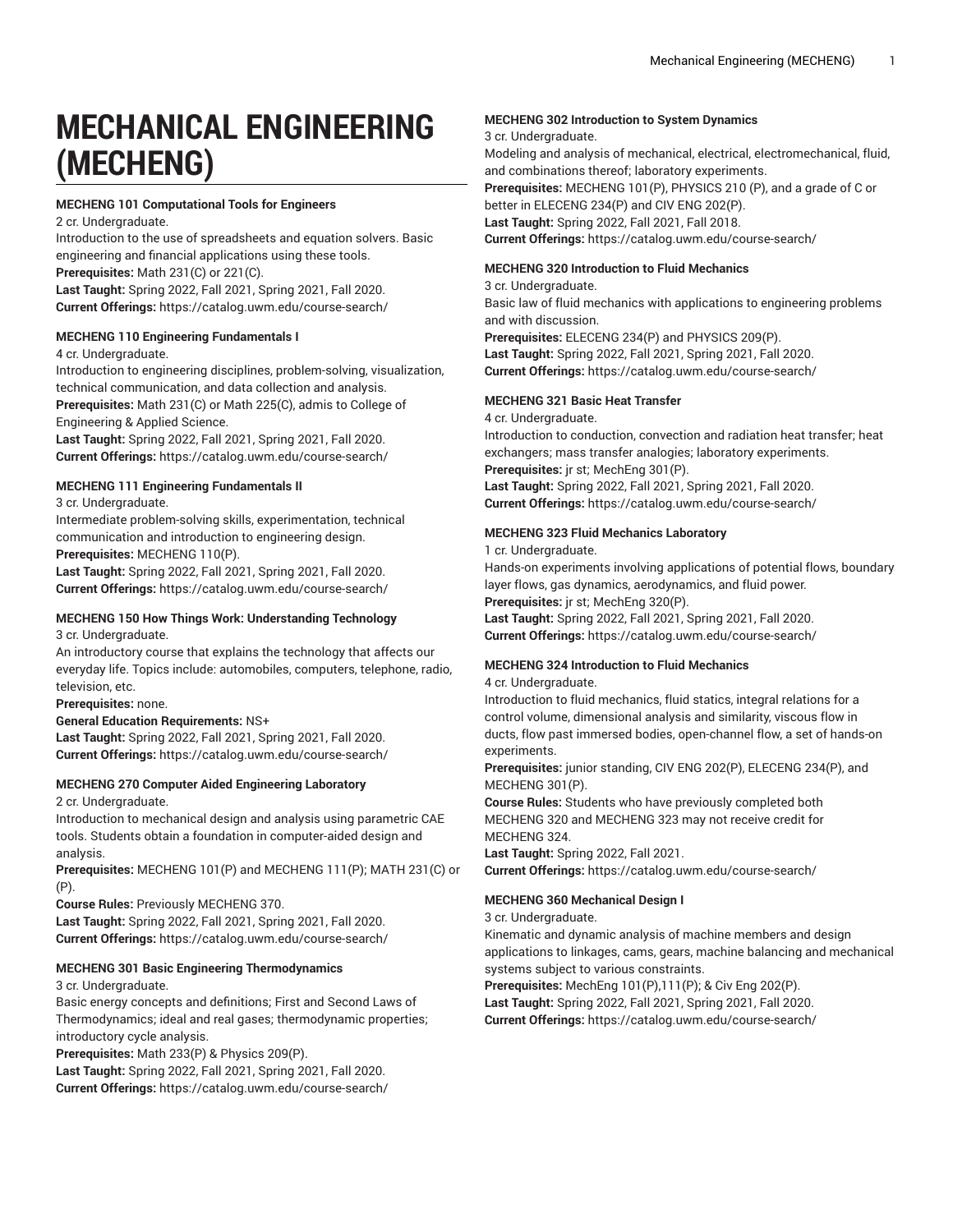# **MECHANICAL ENGINEERING (MECHENG)**

## **MECHENG 101 Computational Tools for Engineers**

2 cr. Undergraduate.

Introduction to the use of spreadsheets and equation solvers. Basic engineering and financial applications using these tools. **Prerequisites:** Math 231(C) or 221(C).

**Last Taught:** Spring 2022, Fall 2021, Spring 2021, Fall 2020. **Current Offerings:** <https://catalog.uwm.edu/course-search/>

#### **MECHENG 110 Engineering Fundamentals I**

#### 4 cr. Undergraduate.

Introduction to engineering disciplines, problem-solving, visualization, technical communication, and data collection and analysis. **Prerequisites:** Math 231(C) or Math 225(C), admis to College of Engineering & Applied Science.

**Last Taught:** Spring 2022, Fall 2021, Spring 2021, Fall 2020. **Current Offerings:** <https://catalog.uwm.edu/course-search/>

## **MECHENG 111 Engineering Fundamentals II**

3 cr. Undergraduate.

Intermediate problem-solving skills, experimentation, technical communication and introduction to engineering design. **Prerequisites:** MECHENG 110(P).

**Last Taught:** Spring 2022, Fall 2021, Spring 2021, Fall 2020. **Current Offerings:** <https://catalog.uwm.edu/course-search/>

#### **MECHENG 150 How Things Work: Understanding Technology** 3 cr. Undergraduate.

An introductory course that explains the technology that affects our everyday life. Topics include: automobiles, computers, telephone, radio, television, etc.

**Prerequisites:** none.

#### **General Education Requirements:** NS+

**Last Taught:** Spring 2022, Fall 2021, Spring 2021, Fall 2020. **Current Offerings:** <https://catalog.uwm.edu/course-search/>

#### **MECHENG 270 Computer Aided Engineering Laboratory**

2 cr. Undergraduate.

Introduction to mechanical design and analysis using parametric CAE tools. Students obtain a foundation in computer-aided design and analysis.

**Prerequisites:** MECHENG 101(P) and MECHENG 111(P); MATH 231(C) or (P).

**Course Rules:** Previously MECHENG 370. **Last Taught:** Spring 2022, Fall 2021, Spring 2021, Fall 2020. **Current Offerings:** <https://catalog.uwm.edu/course-search/>

#### **MECHENG 301 Basic Engineering Thermodynamics**

#### 3 cr. Undergraduate.

Basic energy concepts and definitions; First and Second Laws of Thermodynamics; ideal and real gases; thermodynamic properties; introductory cycle analysis.

**Prerequisites:** Math 233(P) & Physics 209(P).

**Last Taught:** Spring 2022, Fall 2021, Spring 2021, Fall 2020. **Current Offerings:** <https://catalog.uwm.edu/course-search/>

## **MECHENG 302 Introduction to System Dynamics**

3 cr. Undergraduate.

Modeling and analysis of mechanical, electrical, electromechanical, fluid, and combinations thereof; laboratory experiments.

**Prerequisites:** MECHENG 101(P), PHYSICS 210 (P), and a grade of C or better in ELECENG 234(P) and CIV ENG 202(P). **Last Taught:** Spring 2022, Fall 2021, Fall 2018.

**Current Offerings:** <https://catalog.uwm.edu/course-search/>

## **MECHENG 320 Introduction to Fluid Mechanics**

3 cr. Undergraduate.

Basic law of fluid mechanics with applications to engineering problems and with discussion.

**Prerequisites:** ELECENG 234(P) and PHYSICS 209(P).

**Last Taught:** Spring 2022, Fall 2021, Spring 2021, Fall 2020. **Current Offerings:** <https://catalog.uwm.edu/course-search/>

## **MECHENG 321 Basic Heat Transfer**

4 cr. Undergraduate.

Introduction to conduction, convection and radiation heat transfer; heat exchangers; mass transfer analogies; laboratory experiments. **Prerequisites:** jr st; MechEng 301(P). **Last Taught:** Spring 2022, Fall 2021, Spring 2021, Fall 2020.

**Current Offerings:** <https://catalog.uwm.edu/course-search/>

## **MECHENG 323 Fluid Mechanics Laboratory**

1 cr. Undergraduate.

Hands-on experiments involving applications of potential flows, boundary layer flows, gas dynamics, aerodynamics, and fluid power.

**Prerequisites:** jr st; MechEng 320(P).

**Last Taught:** Spring 2022, Fall 2021, Spring 2021, Fall 2020. **Current Offerings:** <https://catalog.uwm.edu/course-search/>

#### **MECHENG 324 Introduction to Fluid Mechanics**

4 cr. Undergraduate.

Introduction to fluid mechanics, fluid statics, integral relations for a control volume, dimensional analysis and similarity, viscous flow in ducts, flow past immersed bodies, open-channel flow, a set of hands-on experiments.

**Prerequisites:** junior standing, CIV ENG 202(P), ELECENG 234(P), and MECHENG 301(P).

**Course Rules:** Students who have previously completed both MECHENG 320 and MECHENG 323 may not receive credit for MECHENG 324.

**Last Taught:** Spring 2022, Fall 2021. **Current Offerings:** <https://catalog.uwm.edu/course-search/>

#### **MECHENG 360 Mechanical Design I**

3 cr. Undergraduate.

Kinematic and dynamic analysis of machine members and design applications to linkages, cams, gears, machine balancing and mechanical systems subject to various constraints.

**Prerequisites:** MechEng 101(P),111(P); & Civ Eng 202(P). **Last Taught:** Spring 2022, Fall 2021, Spring 2021, Fall 2020. **Current Offerings:** <https://catalog.uwm.edu/course-search/>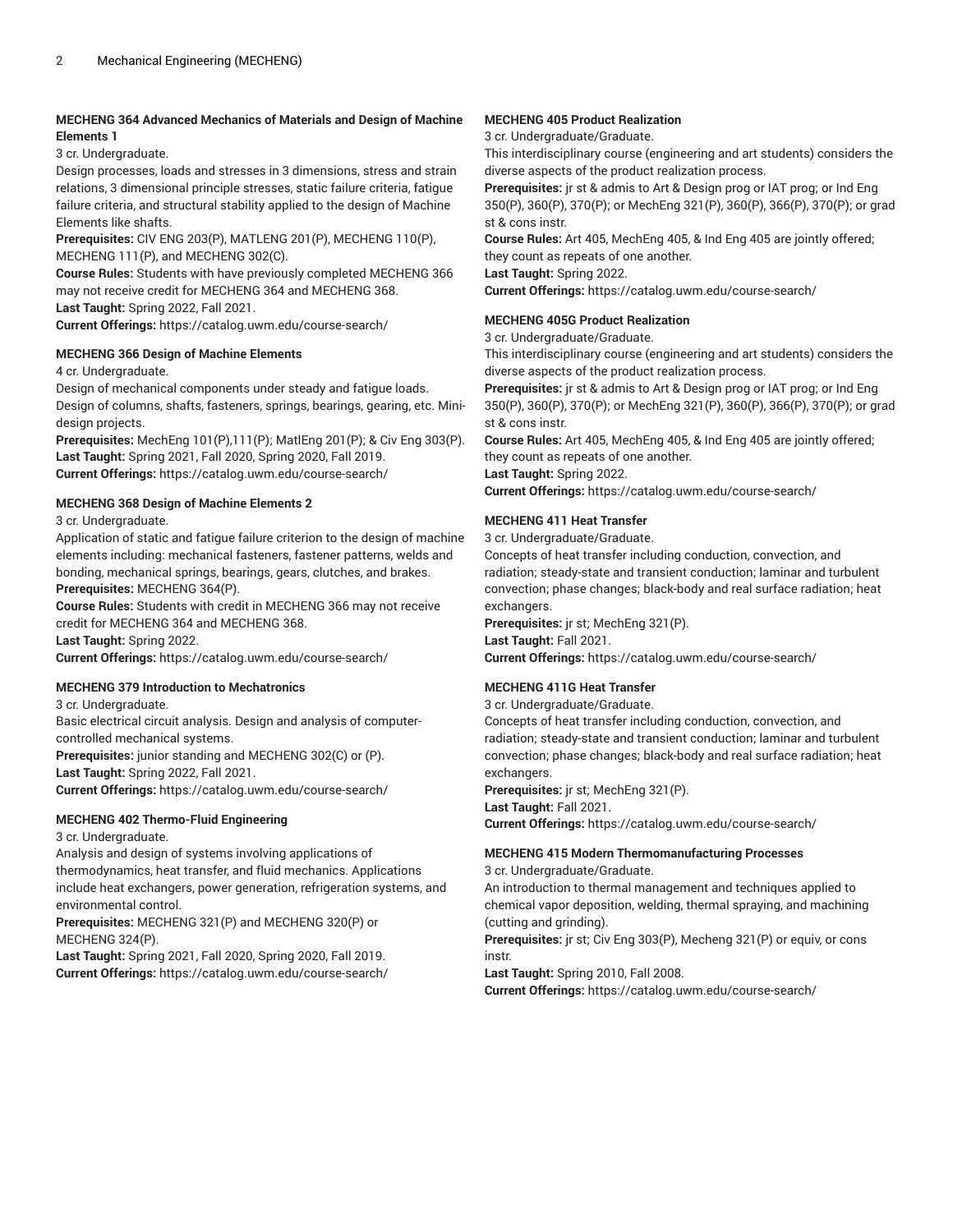## **MECHENG 364 Advanced Mechanics of Materials and Design of Machine Elements 1**

3 cr. Undergraduate.

Design processes, loads and stresses in 3 dimensions, stress and strain relations, 3 dimensional principle stresses, static failure criteria, fatigue failure criteria, and structural stability applied to the design of Machine Elements like shafts.

**Prerequisites:** CIV ENG 203(P), MATLENG 201(P), MECHENG 110(P), MECHENG 111(P), and MECHENG 302(C).

**Course Rules:** Students with have previously completed MECHENG 366 may not receive credit for MECHENG 364 and MECHENG 368. **Last Taught:** Spring 2022, Fall 2021.

**Current Offerings:** <https://catalog.uwm.edu/course-search/>

## **MECHENG 366 Design of Machine Elements**

4 cr. Undergraduate.

Design of mechanical components under steady and fatigue loads. Design of columns, shafts, fasteners, springs, bearings, gearing, etc. Minidesign projects.

**Prerequisites:** MechEng 101(P),111(P); MatlEng 201(P); & Civ Eng 303(P). **Last Taught:** Spring 2021, Fall 2020, Spring 2020, Fall 2019. **Current Offerings:** <https://catalog.uwm.edu/course-search/>

## **MECHENG 368 Design of Machine Elements 2**

3 cr. Undergraduate.

Application of static and fatigue failure criterion to the design of machine elements including: mechanical fasteners, fastener patterns, welds and bonding, mechanical springs, bearings, gears, clutches, and brakes. **Prerequisites:** MECHENG 364(P).

**Course Rules:** Students with credit in MECHENG 366 may not receive credit for MECHENG 364 and MECHENG 368.

**Last Taught:** Spring 2022.

**Current Offerings:** <https://catalog.uwm.edu/course-search/>

## **MECHENG 379 Introduction to Mechatronics**

3 cr. Undergraduate.

Basic electrical circuit analysis. Design and analysis of computercontrolled mechanical systems.

**Prerequisites:** junior standing and MECHENG 302(C) or (P). **Last Taught:** Spring 2022, Fall 2021.

**Current Offerings:** <https://catalog.uwm.edu/course-search/>

## **MECHENG 402 Thermo-Fluid Engineering**

3 cr. Undergraduate.

Analysis and design of systems involving applications of thermodynamics, heat transfer, and fluid mechanics. Applications include heat exchangers, power generation, refrigeration systems, and environmental control.

**Prerequisites:** MECHENG 321(P) and MECHENG 320(P) or MECHENG 324(P).

**Last Taught:** Spring 2021, Fall 2020, Spring 2020, Fall 2019. **Current Offerings:** <https://catalog.uwm.edu/course-search/>

## **MECHENG 405 Product Realization**

3 cr. Undergraduate/Graduate.

This interdisciplinary course (engineering and art students) considers the diverse aspects of the product realization process.

**Prerequisites:** jr st & admis to Art & Design prog or IAT prog; or Ind Eng 350(P), 360(P), 370(P); or MechEng 321(P), 360(P), 366(P), 370(P); or grad st & cons instr.

**Course Rules:** Art 405, MechEng 405, & Ind Eng 405 are jointly offered; they count as repeats of one another. **Last Taught:** Spring 2022.

**Current Offerings:** <https://catalog.uwm.edu/course-search/>

## **MECHENG 405G Product Realization**

3 cr. Undergraduate/Graduate.

This interdisciplinary course (engineering and art students) considers the diverse aspects of the product realization process.

**Prerequisites:** jr st & admis to Art & Design prog or IAT prog; or Ind Eng 350(P), 360(P), 370(P); or MechEng 321(P), 360(P), 366(P), 370(P); or grad st & cons instr.

**Course Rules:** Art 405, MechEng 405, & Ind Eng 405 are jointly offered; they count as repeats of one another. **Last Taught:** Spring 2022. **Current Offerings:** <https://catalog.uwm.edu/course-search/>

## **MECHENG 411 Heat Transfer**

3 cr. Undergraduate/Graduate.

Concepts of heat transfer including conduction, convection, and radiation; steady-state and transient conduction; laminar and turbulent convection; phase changes; black-body and real surface radiation; heat exchangers.

**Prerequisites:** jr st; MechEng 321(P).

**Last Taught:** Fall 2021.

**Current Offerings:** <https://catalog.uwm.edu/course-search/>

## **MECHENG 411G Heat Transfer**

3 cr. Undergraduate/Graduate.

Concepts of heat transfer including conduction, convection, and radiation; steady-state and transient conduction; laminar and turbulent convection; phase changes; black-body and real surface radiation; heat exchangers.

**Prerequisites:** jr st; MechEng 321(P).

**Last Taught:** Fall 2021.

**Current Offerings:** <https://catalog.uwm.edu/course-search/>

## **MECHENG 415 Modern Thermomanufacturing Processes**

3 cr. Undergraduate/Graduate.

An introduction to thermal management and techniques applied to chemical vapor deposition, welding, thermal spraying, and machining (cutting and grinding).

**Prerequisites:** jr st; Civ Eng 303(P), Mecheng 321(P) or equiv, or cons instr.

**Last Taught:** Spring 2010, Fall 2008.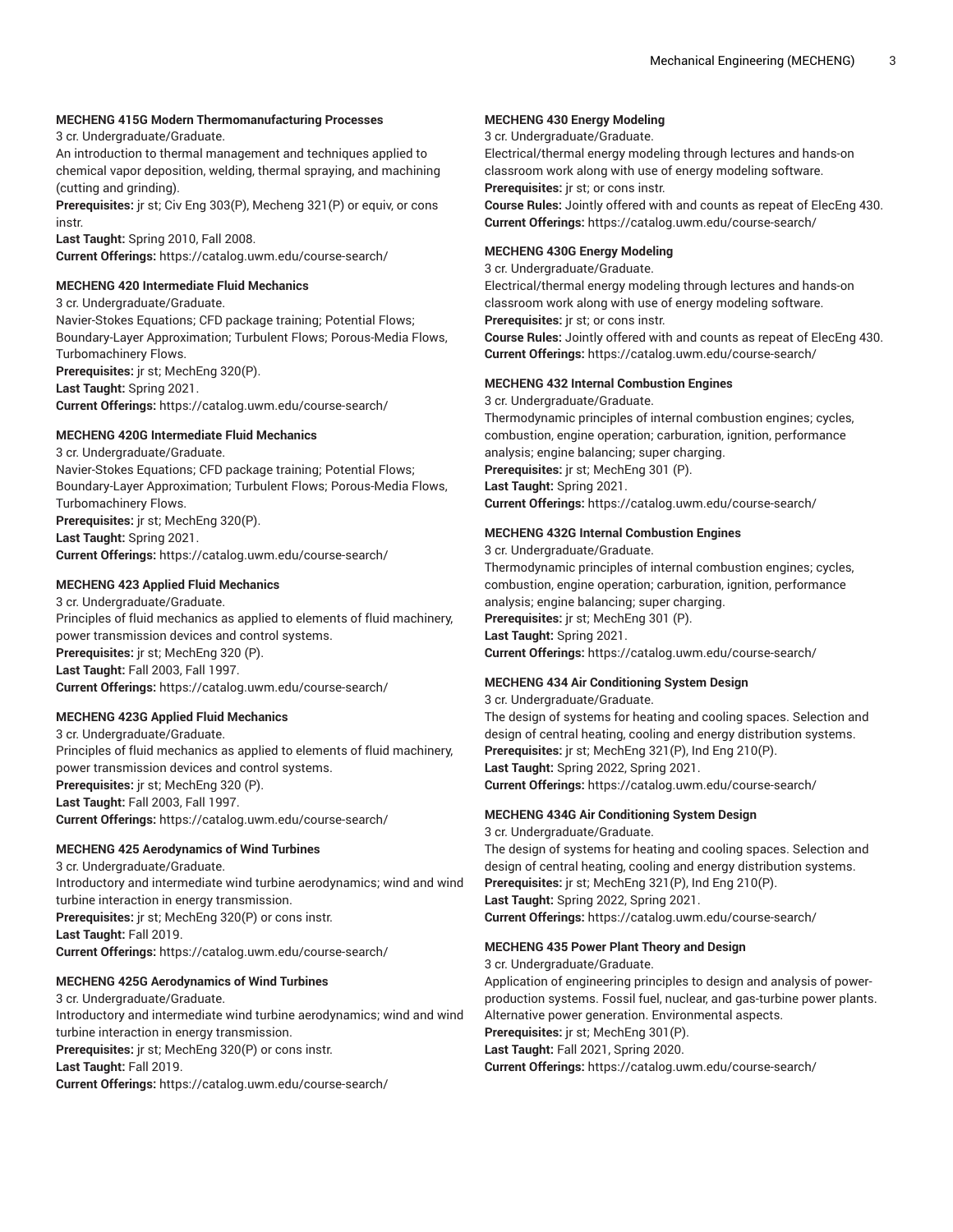#### **MECHENG 415G Modern Thermomanufacturing Processes**

3 cr. Undergraduate/Graduate.

An introduction to thermal management and techniques applied to chemical vapor deposition, welding, thermal spraying, and machining (cutting and grinding).

**Prerequisites:** jr st; Civ Eng 303(P), Mecheng 321(P) or equiv, or cons instr.

**Last Taught:** Spring 2010, Fall 2008. **Current Offerings:** <https://catalog.uwm.edu/course-search/>

#### **MECHENG 420 Intermediate Fluid Mechanics**

3 cr. Undergraduate/Graduate.

Navier-Stokes Equations; CFD package training; Potential Flows; Boundary-Layer Approximation; Turbulent Flows; Porous-Media Flows, Turbomachinery Flows. **Prerequisites:** jr st; MechEng 320(P).

**Last Taught:** Spring 2021.

**Current Offerings:** <https://catalog.uwm.edu/course-search/>

## **MECHENG 420G Intermediate Fluid Mechanics**

3 cr. Undergraduate/Graduate. Navier-Stokes Equations; CFD package training; Potential Flows; Boundary-Layer Approximation; Turbulent Flows; Porous-Media Flows, Turbomachinery Flows. **Prerequisites:** jr st; MechEng 320(P). **Last Taught:** Spring 2021. **Current Offerings:** <https://catalog.uwm.edu/course-search/>

## **MECHENG 423 Applied Fluid Mechanics**

3 cr. Undergraduate/Graduate. Principles of fluid mechanics as applied to elements of fluid machinery, power transmission devices and control systems. **Prerequisites:** jr st; MechEng 320 (P). **Last Taught:** Fall 2003, Fall 1997. **Current Offerings:** <https://catalog.uwm.edu/course-search/>

## **MECHENG 423G Applied Fluid Mechanics**

3 cr. Undergraduate/Graduate. Principles of fluid mechanics as applied to elements of fluid machinery, power transmission devices and control systems. **Prerequisites:** jr st; MechEng 320 (P). **Last Taught:** Fall 2003, Fall 1997. **Current Offerings:** <https://catalog.uwm.edu/course-search/>

#### **MECHENG 425 Aerodynamics of Wind Turbines**

3 cr. Undergraduate/Graduate. Introductory and intermediate wind turbine aerodynamics; wind and wind turbine interaction in energy transmission. **Prerequisites:** jr st; MechEng 320(P) or cons instr. **Last Taught:** Fall 2019. **Current Offerings:** <https://catalog.uwm.edu/course-search/>

## **MECHENG 425G Aerodynamics of Wind Turbines**

3 cr. Undergraduate/Graduate. Introductory and intermediate wind turbine aerodynamics; wind and wind turbine interaction in energy transmission. **Prerequisites:** jr st; MechEng 320(P) or cons instr. **Last Taught:** Fall 2019. **Current Offerings:** <https://catalog.uwm.edu/course-search/>

#### **MECHENG 430 Energy Modeling**

3 cr. Undergraduate/Graduate.

Electrical/thermal energy modeling through lectures and hands-on classroom work along with use of energy modeling software. **Prerequisites:** jr st; or cons instr.

**Course Rules:** Jointly offered with and counts as repeat of ElecEng 430. **Current Offerings:** <https://catalog.uwm.edu/course-search/>

#### **MECHENG 430G Energy Modeling**

3 cr. Undergraduate/Graduate. Electrical/thermal energy modeling through lectures and hands-on classroom work along with use of energy modeling software. **Prerequisites:** jr st; or cons instr. **Course Rules:** Jointly offered with and counts as repeat of ElecEng 430. **Current Offerings:** <https://catalog.uwm.edu/course-search/>

## **MECHENG 432 Internal Combustion Engines**

3 cr. Undergraduate/Graduate. Thermodynamic principles of internal combustion engines; cycles, combustion, engine operation; carburation, ignition, performance analysis; engine balancing; super charging. **Prerequisites:** jr st; MechEng 301 (P). **Last Taught:** Spring 2021. **Current Offerings:** <https://catalog.uwm.edu/course-search/>

#### **MECHENG 432G Internal Combustion Engines**

3 cr. Undergraduate/Graduate. Thermodynamic principles of internal combustion engines; cycles, combustion, engine operation; carburation, ignition, performance analysis; engine balancing; super charging. **Prerequisites:** jr st; MechEng 301 (P). **Last Taught:** Spring 2021. **Current Offerings:** <https://catalog.uwm.edu/course-search/>

## **MECHENG 434 Air Conditioning System Design**

3 cr. Undergraduate/Graduate. The design of systems for heating and cooling spaces. Selection and design of central heating, cooling and energy distribution systems. **Prerequisites:** jr st; MechEng 321(P), Ind Eng 210(P). **Last Taught:** Spring 2022, Spring 2021. **Current Offerings:** <https://catalog.uwm.edu/course-search/>

## **MECHENG 434G Air Conditioning System Design**

3 cr. Undergraduate/Graduate. The design of systems for heating and cooling spaces. Selection and design of central heating, cooling and energy distribution systems. **Prerequisites:** jr st; MechEng 321(P), Ind Eng 210(P). **Last Taught:** Spring 2022, Spring 2021. **Current Offerings:** <https://catalog.uwm.edu/course-search/>

## **MECHENG 435 Power Plant Theory and Design**

3 cr. Undergraduate/Graduate. Application of engineering principles to design and analysis of powerproduction systems. Fossil fuel, nuclear, and gas-turbine power plants. Alternative power generation. Environmental aspects. **Prerequisites:** jr st; MechEng 301(P). **Last Taught:** Fall 2021, Spring 2020. **Current Offerings:** <https://catalog.uwm.edu/course-search/>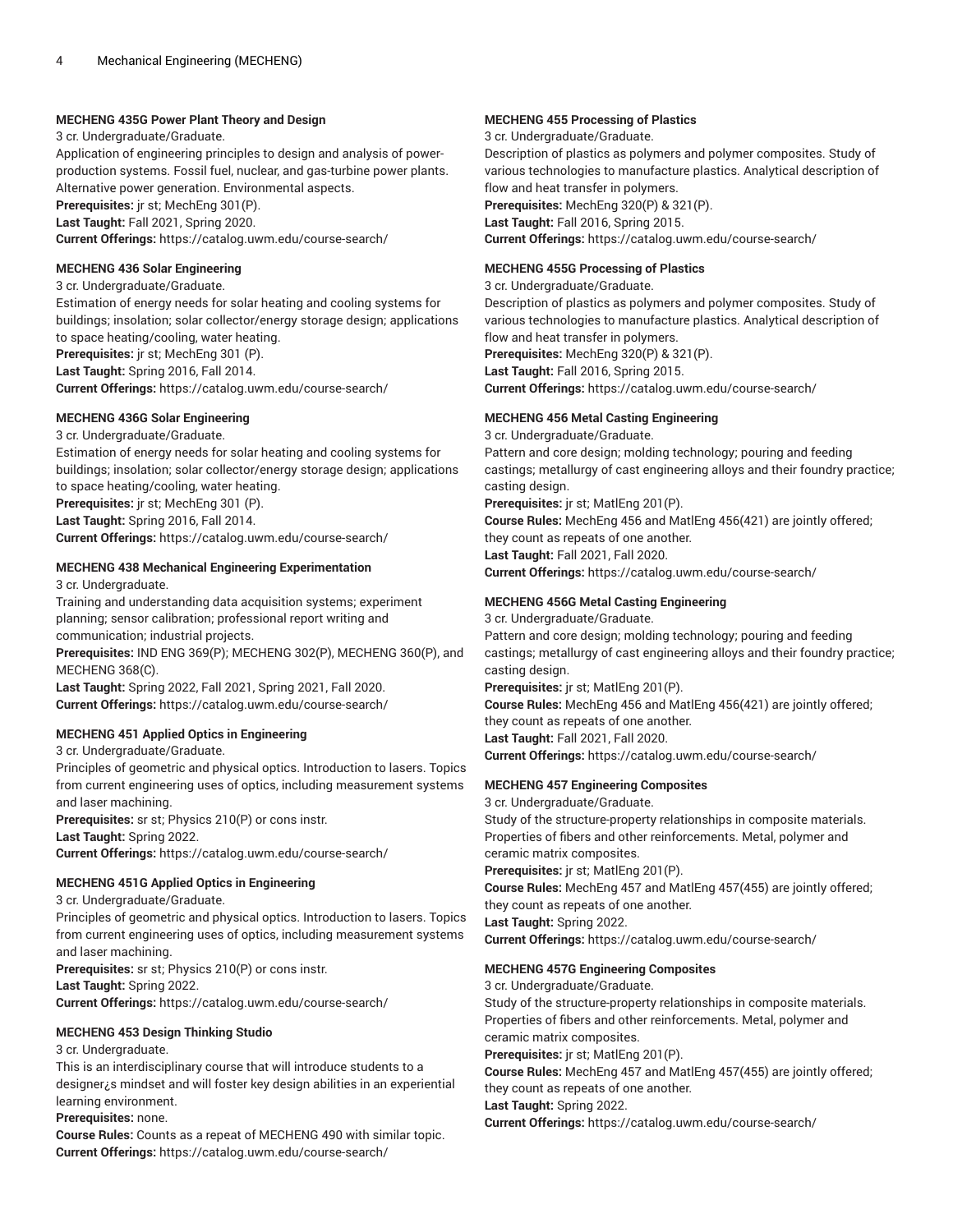#### **MECHENG 435G Power Plant Theory and Design**

3 cr. Undergraduate/Graduate.

Application of engineering principles to design and analysis of powerproduction systems. Fossil fuel, nuclear, and gas-turbine power plants. Alternative power generation. Environmental aspects. **Prerequisites:** jr st; MechEng 301(P). **Last Taught:** Fall 2021, Spring 2020.

**Current Offerings:** <https://catalog.uwm.edu/course-search/>

#### **MECHENG 436 Solar Engineering**

3 cr. Undergraduate/Graduate.

Estimation of energy needs for solar heating and cooling systems for buildings; insolation; solar collector/energy storage design; applications to space heating/cooling, water heating. **Prerequisites:** jr st; MechEng 301 (P).

**Last Taught:** Spring 2016, Fall 2014.

**Current Offerings:** <https://catalog.uwm.edu/course-search/>

## **MECHENG 436G Solar Engineering**

3 cr. Undergraduate/Graduate.

Estimation of energy needs for solar heating and cooling systems for buildings; insolation; solar collector/energy storage design; applications to space heating/cooling, water heating. **Prerequisites:** jr st; MechEng 301 (P).

**Last Taught:** Spring 2016, Fall 2014. **Current Offerings:** <https://catalog.uwm.edu/course-search/>

## **MECHENG 438 Mechanical Engineering Experimentation**

3 cr. Undergraduate.

Training and understanding data acquisition systems; experiment planning; sensor calibration; professional report writing and communication; industrial projects.

**Prerequisites:** IND ENG 369(P); MECHENG 302(P), MECHENG 360(P), and MECHENG 368(C).

**Last Taught:** Spring 2022, Fall 2021, Spring 2021, Fall 2020. **Current Offerings:** <https://catalog.uwm.edu/course-search/>

## **MECHENG 451 Applied Optics in Engineering**

3 cr. Undergraduate/Graduate.

Principles of geometric and physical optics. Introduction to lasers. Topics from current engineering uses of optics, including measurement systems and laser machining.

**Prerequisites:** sr st; Physics 210(P) or cons instr. **Last Taught:** Spring 2022.

**Current Offerings:** <https://catalog.uwm.edu/course-search/>

## **MECHENG 451G Applied Optics in Engineering**

3 cr. Undergraduate/Graduate.

Principles of geometric and physical optics. Introduction to lasers. Topics from current engineering uses of optics, including measurement systems and laser machining.

**Prerequisites:** sr st; Physics 210(P) or cons instr.

**Last Taught:** Spring 2022.

**Current Offerings:** <https://catalog.uwm.edu/course-search/>

## **MECHENG 453 Design Thinking Studio**

3 cr. Undergraduate.

This is an interdisciplinary course that will introduce students to a designer¿s mindset and will foster key design abilities in an experiential learning environment.

**Prerequisites:** none.

**Course Rules:** Counts as a repeat of MECHENG 490 with similar topic. **Current Offerings:** <https://catalog.uwm.edu/course-search/>

## **MECHENG 455 Processing of Plastics**

3 cr. Undergraduate/Graduate.

Description of plastics as polymers and polymer composites. Study of various technologies to manufacture plastics. Analytical description of flow and heat transfer in polymers. **Prerequisites:** MechEng 320(P) & 321(P).

**Last Taught:** Fall 2016, Spring 2015.

**Current Offerings:** <https://catalog.uwm.edu/course-search/>

## **MECHENG 455G Processing of Plastics**

3 cr. Undergraduate/Graduate.

Description of plastics as polymers and polymer composites. Study of various technologies to manufacture plastics. Analytical description of flow and heat transfer in polymers.

**Prerequisites:** MechEng 320(P) & 321(P).

**Last Taught:** Fall 2016, Spring 2015.

**Current Offerings:** <https://catalog.uwm.edu/course-search/>

## **MECHENG 456 Metal Casting Engineering**

3 cr. Undergraduate/Graduate.

Pattern and core design; molding technology; pouring and feeding castings; metallurgy of cast engineering alloys and their foundry practice; casting design.

**Prerequisites:** jr st; MatlEng 201(P).

**Course Rules:** MechEng 456 and MatlEng 456(421) are jointly offered; they count as repeats of one another. **Last Taught:** Fall 2021, Fall 2020.

**Current Offerings:** <https://catalog.uwm.edu/course-search/>

## **MECHENG 456G Metal Casting Engineering**

3 cr. Undergraduate/Graduate.

Pattern and core design; molding technology; pouring and feeding castings; metallurgy of cast engineering alloys and their foundry practice; casting design.

**Prerequisites:** jr st; MatlEng 201(P).

**Course Rules:** MechEng 456 and MatlEng 456(421) are jointly offered; they count as repeats of one another. **Last Taught:** Fall 2021, Fall 2020. **Current Offerings:** <https://catalog.uwm.edu/course-search/>

## **MECHENG 457 Engineering Composites**

3 cr. Undergraduate/Graduate. Study of the structure-property relationships in composite materials. Properties of fibers and other reinforcements. Metal, polymer and ceramic matrix composites. **Prerequisites:** jr st; MatlEng 201(P). **Course Rules:** MechEng 457 and MatlEng 457(455) are jointly offered; they count as repeats of one another. **Last Taught:** Spring 2022. **Current Offerings:** <https://catalog.uwm.edu/course-search/>

## **MECHENG 457G Engineering Composites**

3 cr. Undergraduate/Graduate.

Study of the structure-property relationships in composite materials. Properties of fibers and other reinforcements. Metal, polymer and ceramic matrix composites.

**Prerequisites:** jr st; MatlEng 201(P).

**Course Rules:** MechEng 457 and MatlEng 457(455) are jointly offered; they count as repeats of one another.

**Last Taught:** Spring 2022.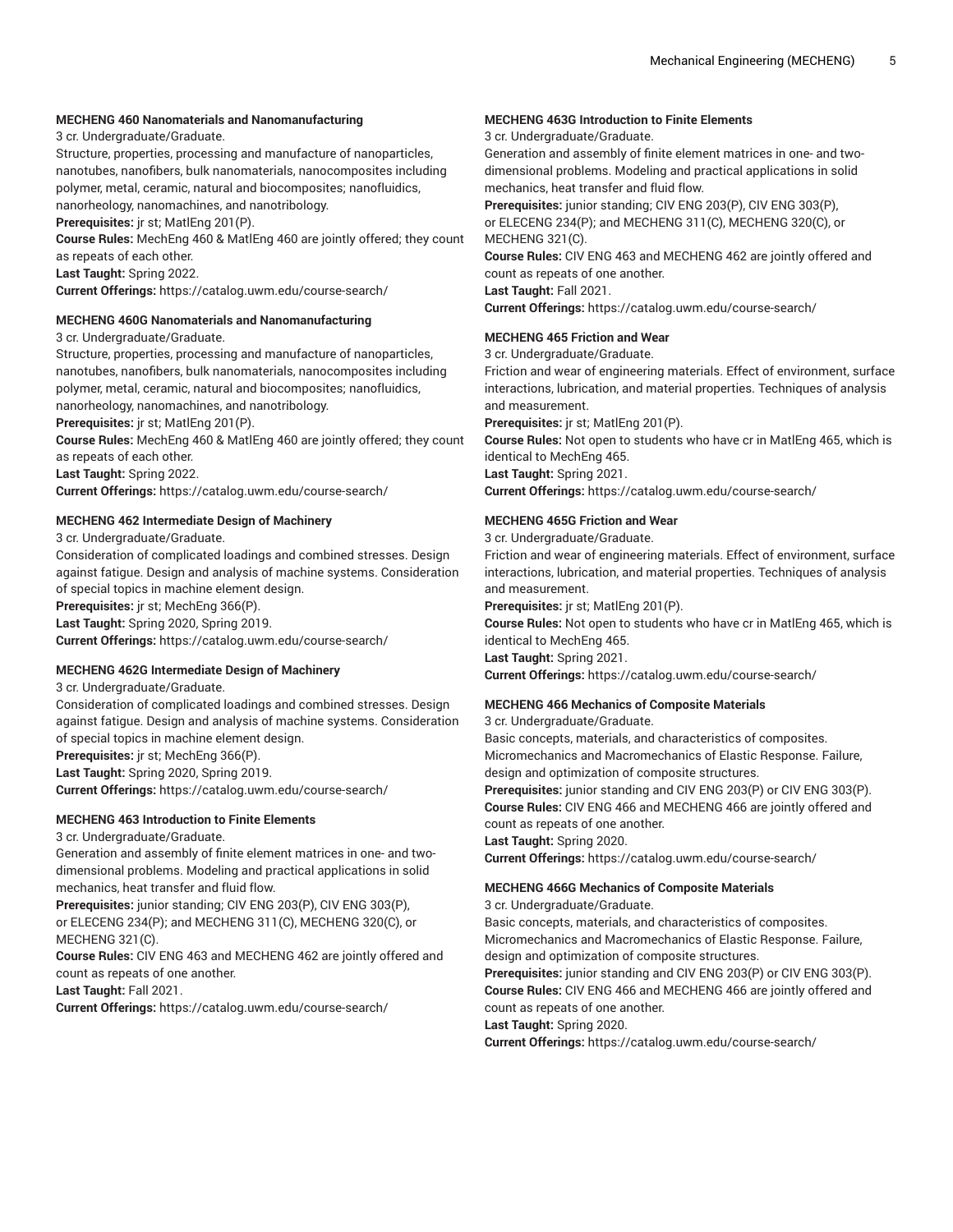#### **MECHENG 460 Nanomaterials and Nanomanufacturing**

3 cr. Undergraduate/Graduate.

Structure, properties, processing and manufacture of nanoparticles, nanotubes, nanofibers, bulk nanomaterials, nanocomposites including polymer, metal, ceramic, natural and biocomposites; nanofluidics,

nanorheology, nanomachines, and nanotribology.

**Prerequisites:** jr st; MatlEng 201(P).

**Course Rules:** MechEng 460 & MatlEng 460 are jointly offered; they count as repeats of each other.

**Last Taught:** Spring 2022.

**Current Offerings:** <https://catalog.uwm.edu/course-search/>

#### **MECHENG 460G Nanomaterials and Nanomanufacturing**

3 cr. Undergraduate/Graduate.

Structure, properties, processing and manufacture of nanoparticles, nanotubes, nanofibers, bulk nanomaterials, nanocomposites including polymer, metal, ceramic, natural and biocomposites; nanofluidics, nanorheology, nanomachines, and nanotribology.

**Prerequisites:** jr st; MatlEng 201(P).

**Course Rules:** MechEng 460 & MatlEng 460 are jointly offered; they count as repeats of each other.

**Last Taught:** Spring 2022.

**Current Offerings:** <https://catalog.uwm.edu/course-search/>

#### **MECHENG 462 Intermediate Design of Machinery**

3 cr. Undergraduate/Graduate.

Consideration of complicated loadings and combined stresses. Design against fatigue. Design and analysis of machine systems. Consideration of special topics in machine element design.

**Prerequisites:** jr st; MechEng 366(P).

**Last Taught:** Spring 2020, Spring 2019.

**Current Offerings:** <https://catalog.uwm.edu/course-search/>

## **MECHENG 462G Intermediate Design of Machinery**

3 cr. Undergraduate/Graduate.

Consideration of complicated loadings and combined stresses. Design against fatigue. Design and analysis of machine systems. Consideration of special topics in machine element design.

**Prerequisites:** jr st; MechEng 366(P).

**Last Taught:** Spring 2020, Spring 2019.

**Current Offerings:** <https://catalog.uwm.edu/course-search/>

#### **MECHENG 463 Introduction to Finite Elements**

3 cr. Undergraduate/Graduate.

Generation and assembly of finite element matrices in one- and twodimensional problems. Modeling and practical applications in solid mechanics, heat transfer and fluid flow.

**Prerequisites:** junior standing; CIV ENG 203(P), CIV ENG 303(P), or ELECENG 234(P); and MECHENG 311(C), MECHENG 320(C), or MECHENG 321(C).

**Course Rules:** CIV ENG 463 and MECHENG 462 are jointly offered and count as repeats of one another.

**Last Taught:** Fall 2021.

**Current Offerings:** <https://catalog.uwm.edu/course-search/>

## **MECHENG 463G Introduction to Finite Elements**

#### 3 cr. Undergraduate/Graduate.

Generation and assembly of finite element matrices in one- and twodimensional problems. Modeling and practical applications in solid mechanics, heat transfer and fluid flow.

**Prerequisites:** junior standing; CIV ENG 203(P), CIV ENG 303(P), or ELECENG 234(P); and MECHENG 311(C), MECHENG 320(C), or MECHENG 321(C).

**Course Rules:** CIV ENG 463 and MECHENG 462 are jointly offered and count as repeats of one another.

**Last Taught:** Fall 2021.

**Current Offerings:** <https://catalog.uwm.edu/course-search/>

#### **MECHENG 465 Friction and Wear**

3 cr. Undergraduate/Graduate.

Friction and wear of engineering materials. Effect of environment, surface interactions, lubrication, and material properties. Techniques of analysis and measurement.

**Prerequisites:** jr st; MatlEng 201(P).

**Course Rules:** Not open to students who have cr in MatlEng 465, which is identical to MechEng 465. **Last Taught:** Spring 2021. **Current Offerings:** <https://catalog.uwm.edu/course-search/>

#### **MECHENG 465G Friction and Wear**

3 cr. Undergraduate/Graduate.

Friction and wear of engineering materials. Effect of environment, surface interactions, lubrication, and material properties. Techniques of analysis and measurement.

**Prerequisites:** jr st; MatlEng 201(P).

**Course Rules:** Not open to students who have cr in MatlEng 465, which is identical to MechEng 465. **Last Taught:** Spring 2021.

**Current Offerings:** <https://catalog.uwm.edu/course-search/>

#### **MECHENG 466 Mechanics of Composite Materials**

3 cr. Undergraduate/Graduate.

Basic concepts, materials, and characteristics of composites. Micromechanics and Macromechanics of Elastic Response. Failure, design and optimization of composite structures.

**Prerequisites:** junior standing and CIV ENG 203(P) or CIV ENG 303(P). **Course Rules:** CIV ENG 466 and MECHENG 466 are jointly offered and count as repeats of one another.

**Last Taught:** Spring 2020.

**Current Offerings:** <https://catalog.uwm.edu/course-search/>

#### **MECHENG 466G Mechanics of Composite Materials**

3 cr. Undergraduate/Graduate.

Basic concepts, materials, and characteristics of composites. Micromechanics and Macromechanics of Elastic Response. Failure, design and optimization of composite structures.

**Prerequisites:** junior standing and CIV ENG 203(P) or CIV ENG 303(P). **Course Rules:** CIV ENG 466 and MECHENG 466 are jointly offered and

count as repeats of one another.

#### **Last Taught:** Spring 2020.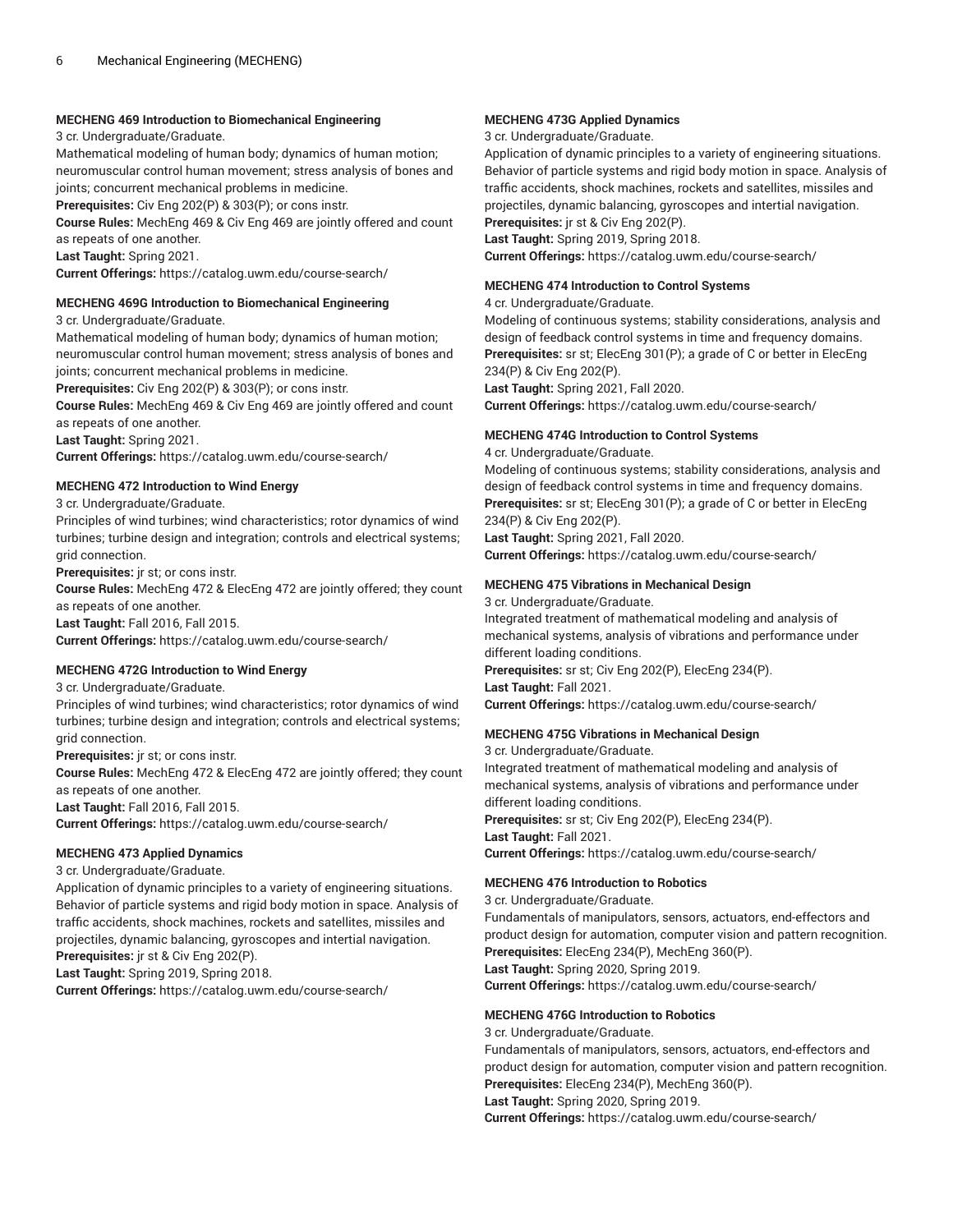## **MECHENG 469 Introduction to Biomechanical Engineering**

3 cr. Undergraduate/Graduate.

Mathematical modeling of human body; dynamics of human motion; neuromuscular control human movement; stress analysis of bones and joints; concurrent mechanical problems in medicine.

**Prerequisites:** Civ Eng 202(P) & 303(P); or cons instr.

**Course Rules:** MechEng 469 & Civ Eng 469 are jointly offered and count as repeats of one another.

**Last Taught:** Spring 2021.

**Current Offerings:** <https://catalog.uwm.edu/course-search/>

#### **MECHENG 469G Introduction to Biomechanical Engineering**

3 cr. Undergraduate/Graduate.

Mathematical modeling of human body; dynamics of human motion; neuromuscular control human movement; stress analysis of bones and joints; concurrent mechanical problems in medicine.

**Prerequisites:** Civ Eng 202(P) & 303(P); or cons instr.

**Course Rules:** MechEng 469 & Civ Eng 469 are jointly offered and count as repeats of one another.

**Last Taught:** Spring 2021.

**Current Offerings:** <https://catalog.uwm.edu/course-search/>

## **MECHENG 472 Introduction to Wind Energy**

3 cr. Undergraduate/Graduate.

Principles of wind turbines; wind characteristics; rotor dynamics of wind turbines; turbine design and integration; controls and electrical systems; grid connection.

**Prerequisites:** jr st; or cons instr.

**Course Rules:** MechEng 472 & ElecEng 472 are jointly offered; they count as repeats of one another.

**Last Taught:** Fall 2016, Fall 2015.

**Current Offerings:** <https://catalog.uwm.edu/course-search/>

#### **MECHENG 472G Introduction to Wind Energy**

3 cr. Undergraduate/Graduate.

Principles of wind turbines; wind characteristics; rotor dynamics of wind turbines; turbine design and integration; controls and electrical systems; grid connection.

**Prerequisites:** jr st; or cons instr.

**Course Rules:** MechEng 472 & ElecEng 472 are jointly offered; they count as repeats of one another.

**Last Taught:** Fall 2016, Fall 2015.

**Current Offerings:** <https://catalog.uwm.edu/course-search/>

## **MECHENG 473 Applied Dynamics**

3 cr. Undergraduate/Graduate.

Application of dynamic principles to a variety of engineering situations. Behavior of particle systems and rigid body motion in space. Analysis of traffic accidents, shock machines, rockets and satellites, missiles and projectiles, dynamic balancing, gyroscopes and intertial navigation.

**Prerequisites:** jr st & Civ Eng 202(P).

**Last Taught:** Spring 2019, Spring 2018.

**Current Offerings:** <https://catalog.uwm.edu/course-search/>

## **MECHENG 473G Applied Dynamics**

3 cr. Undergraduate/Graduate.

Application of dynamic principles to a variety of engineering situations. Behavior of particle systems and rigid body motion in space. Analysis of traffic accidents, shock machines, rockets and satellites, missiles and projectiles, dynamic balancing, gyroscopes and intertial navigation. **Prerequisites:** jr st & Civ Eng 202(P).

**Last Taught:** Spring 2019, Spring 2018.

**Current Offerings:** <https://catalog.uwm.edu/course-search/>

## **MECHENG 474 Introduction to Control Systems**

#### 4 cr. Undergraduate/Graduate.

Modeling of continuous systems; stability considerations, analysis and design of feedback control systems in time and frequency domains. **Prerequisites:** sr st; ElecEng 301(P); a grade of C or better in ElecEng 234(P) & Civ Eng 202(P).

**Last Taught:** Spring 2021, Fall 2020.

**Current Offerings:** <https://catalog.uwm.edu/course-search/>

## **MECHENG 474G Introduction to Control Systems**

4 cr. Undergraduate/Graduate.

Modeling of continuous systems; stability considerations, analysis and design of feedback control systems in time and frequency domains. **Prerequisites:** sr st; ElecEng 301(P); a grade of C or better in ElecEng 234(P) & Civ Eng 202(P). **Last Taught:** Spring 2021, Fall 2020.

**Current Offerings:** <https://catalog.uwm.edu/course-search/>

## **MECHENG 475 Vibrations in Mechanical Design**

3 cr. Undergraduate/Graduate. Integrated treatment of mathematical modeling and analysis of mechanical systems, analysis of vibrations and performance under different loading conditions. **Prerequisites:** sr st; Civ Eng 202(P), ElecEng 234(P). **Last Taught:** Fall 2021. **Current Offerings:** <https://catalog.uwm.edu/course-search/>

#### **MECHENG 475G Vibrations in Mechanical Design**

3 cr. Undergraduate/Graduate. Integrated treatment of mathematical modeling and analysis of mechanical systems, analysis of vibrations and performance under different loading conditions. **Prerequisites:** sr st; Civ Eng 202(P), ElecEng 234(P). **Last Taught:** Fall 2021. **Current Offerings:** <https://catalog.uwm.edu/course-search/>

#### **MECHENG 476 Introduction to Robotics**

3 cr. Undergraduate/Graduate. Fundamentals of manipulators, sensors, actuators, end-effectors and product design for automation, computer vision and pattern recognition. **Prerequisites:** ElecEng 234(P), MechEng 360(P). **Last Taught:** Spring 2020, Spring 2019. **Current Offerings:** <https://catalog.uwm.edu/course-search/>

#### **MECHENG 476G Introduction to Robotics**

3 cr. Undergraduate/Graduate.

Fundamentals of manipulators, sensors, actuators, end-effectors and product design for automation, computer vision and pattern recognition. **Prerequisites:** ElecEng 234(P), MechEng 360(P).

**Last Taught:** Spring 2020, Spring 2019.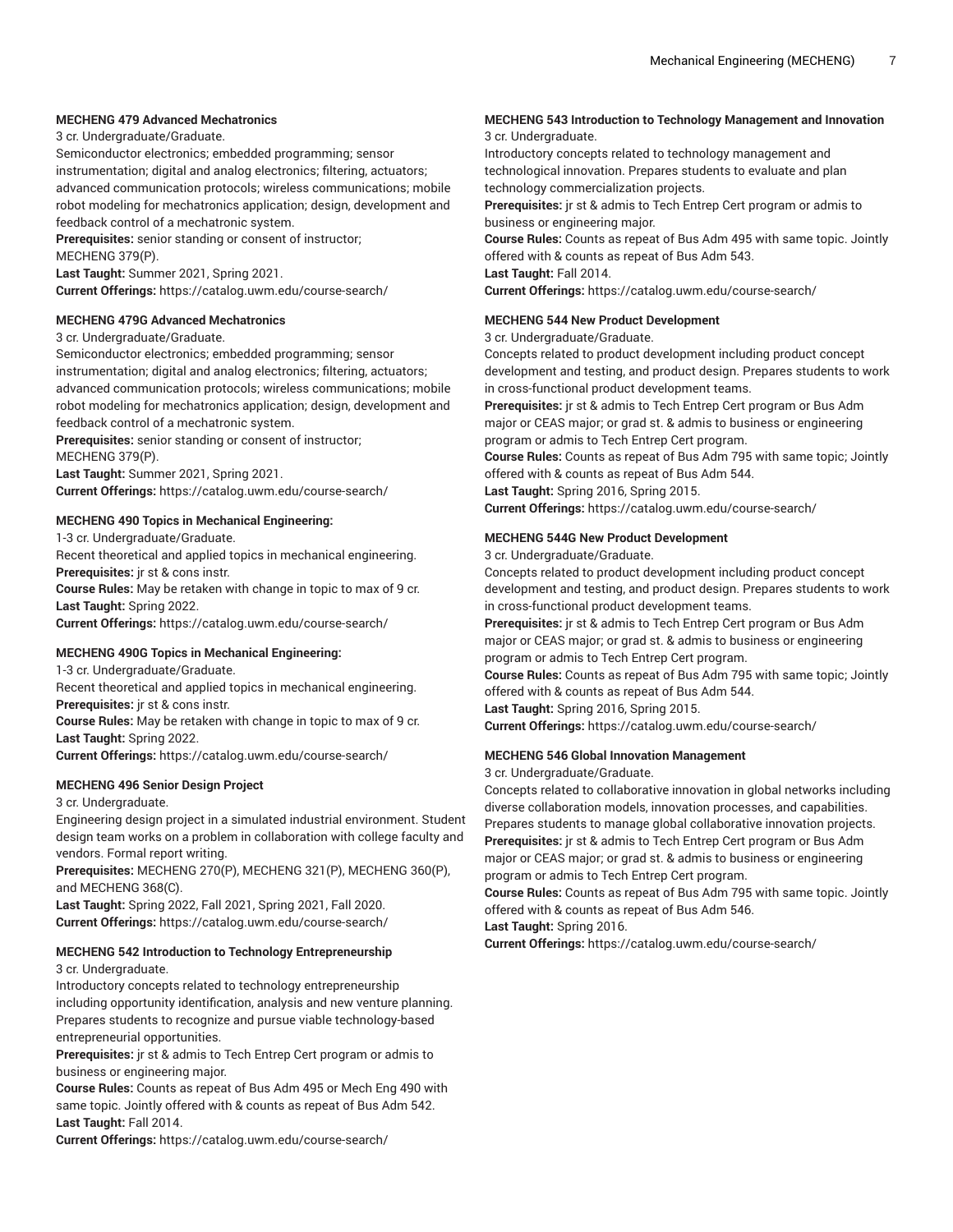## **MECHENG 479 Advanced Mechatronics**

3 cr. Undergraduate/Graduate.

Semiconductor electronics; embedded programming; sensor instrumentation; digital and analog electronics; filtering, actuators; advanced communication protocols; wireless communications; mobile robot modeling for mechatronics application; design, development and feedback control of a mechatronic system.

**Prerequisites:** senior standing or consent of instructor; MECHENG 379(P).

**Last Taught:** Summer 2021, Spring 2021.

**Current Offerings:** <https://catalog.uwm.edu/course-search/>

#### **MECHENG 479G Advanced Mechatronics**

3 cr. Undergraduate/Graduate.

Semiconductor electronics; embedded programming; sensor instrumentation; digital and analog electronics; filtering, actuators; advanced communication protocols; wireless communications; mobile robot modeling for mechatronics application; design, development and feedback control of a mechatronic system.

**Prerequisites:** senior standing or consent of instructor; MECHENG 379(P).

**Last Taught:** Summer 2021, Spring 2021.

**Current Offerings:** <https://catalog.uwm.edu/course-search/>

#### **MECHENG 490 Topics in Mechanical Engineering:**

1-3 cr. Undergraduate/Graduate.

Recent theoretical and applied topics in mechanical engineering. **Prerequisites:** jr st & cons instr.

**Course Rules:** May be retaken with change in topic to max of 9 cr. **Last Taught:** Spring 2022.

**Current Offerings:** <https://catalog.uwm.edu/course-search/>

#### **MECHENG 490G Topics in Mechanical Engineering:**

1-3 cr. Undergraduate/Graduate.

Recent theoretical and applied topics in mechanical engineering. **Prerequisites:** jr st & cons instr.

**Course Rules:** May be retaken with change in topic to max of 9 cr. **Last Taught:** Spring 2022.

**Current Offerings:** <https://catalog.uwm.edu/course-search/>

#### **MECHENG 496 Senior Design Project**

3 cr. Undergraduate.

Engineering design project in a simulated industrial environment. Student design team works on a problem in collaboration with college faculty and vendors. Formal report writing.

**Prerequisites:** MECHENG 270(P), MECHENG 321(P), MECHENG 360(P), and MECHENG 368(C).

**Last Taught:** Spring 2022, Fall 2021, Spring 2021, Fall 2020. **Current Offerings:** <https://catalog.uwm.edu/course-search/>

#### **MECHENG 542 Introduction to Technology Entrepreneurship** 3 cr. Undergraduate.

Introductory concepts related to technology entrepreneurship including opportunity identification, analysis and new venture planning. Prepares students to recognize and pursue viable technology-based entrepreneurial opportunities.

**Prerequisites:** jr st & admis to Tech Entrep Cert program or admis to business or engineering major.

**Course Rules:** Counts as repeat of Bus Adm 495 or Mech Eng 490 with same topic. Jointly offered with & counts as repeat of Bus Adm 542. **Last Taught:** Fall 2014.

**Current Offerings:** <https://catalog.uwm.edu/course-search/>

## **MECHENG 543 Introduction to Technology Management and Innovation**

3 cr. Undergraduate.

Introductory concepts related to technology management and technological innovation. Prepares students to evaluate and plan technology commercialization projects.

**Prerequisites:** jr st & admis to Tech Entrep Cert program or admis to business or engineering major.

**Course Rules:** Counts as repeat of Bus Adm 495 with same topic. Jointly offered with & counts as repeat of Bus Adm 543. **Last Taught:** Fall 2014.

**Current Offerings:** <https://catalog.uwm.edu/course-search/>

#### **MECHENG 544 New Product Development**

3 cr. Undergraduate/Graduate.

Concepts related to product development including product concept development and testing, and product design. Prepares students to work in cross-functional product development teams.

**Prerequisites:** jr st & admis to Tech Entrep Cert program or Bus Adm major or CEAS major; or grad st. & admis to business or engineering program or admis to Tech Entrep Cert program.

**Course Rules:** Counts as repeat of Bus Adm 795 with same topic; Jointly offered with & counts as repeat of Bus Adm 544.

**Last Taught:** Spring 2016, Spring 2015.

**Current Offerings:** <https://catalog.uwm.edu/course-search/>

## **MECHENG 544G New Product Development**

3 cr. Undergraduate/Graduate.

Concepts related to product development including product concept development and testing, and product design. Prepares students to work in cross-functional product development teams.

**Prerequisites:** jr st & admis to Tech Entrep Cert program or Bus Adm major or CEAS major; or grad st. & admis to business or engineering program or admis to Tech Entrep Cert program.

**Course Rules:** Counts as repeat of Bus Adm 795 with same topic; Jointly offered with & counts as repeat of Bus Adm 544.

**Last Taught:** Spring 2016, Spring 2015.

**Current Offerings:** <https://catalog.uwm.edu/course-search/>

#### **MECHENG 546 Global Innovation Management**

3 cr. Undergraduate/Graduate.

Concepts related to collaborative innovation in global networks including diverse collaboration models, innovation processes, and capabilities. Prepares students to manage global collaborative innovation projects. **Prerequisites:** jr st & admis to Tech Entrep Cert program or Bus Adm major or CEAS major; or grad st. & admis to business or engineering program or admis to Tech Entrep Cert program.

**Course Rules:** Counts as repeat of Bus Adm 795 with same topic. Jointly offered with & counts as repeat of Bus Adm 546.

**Last Taught:** Spring 2016.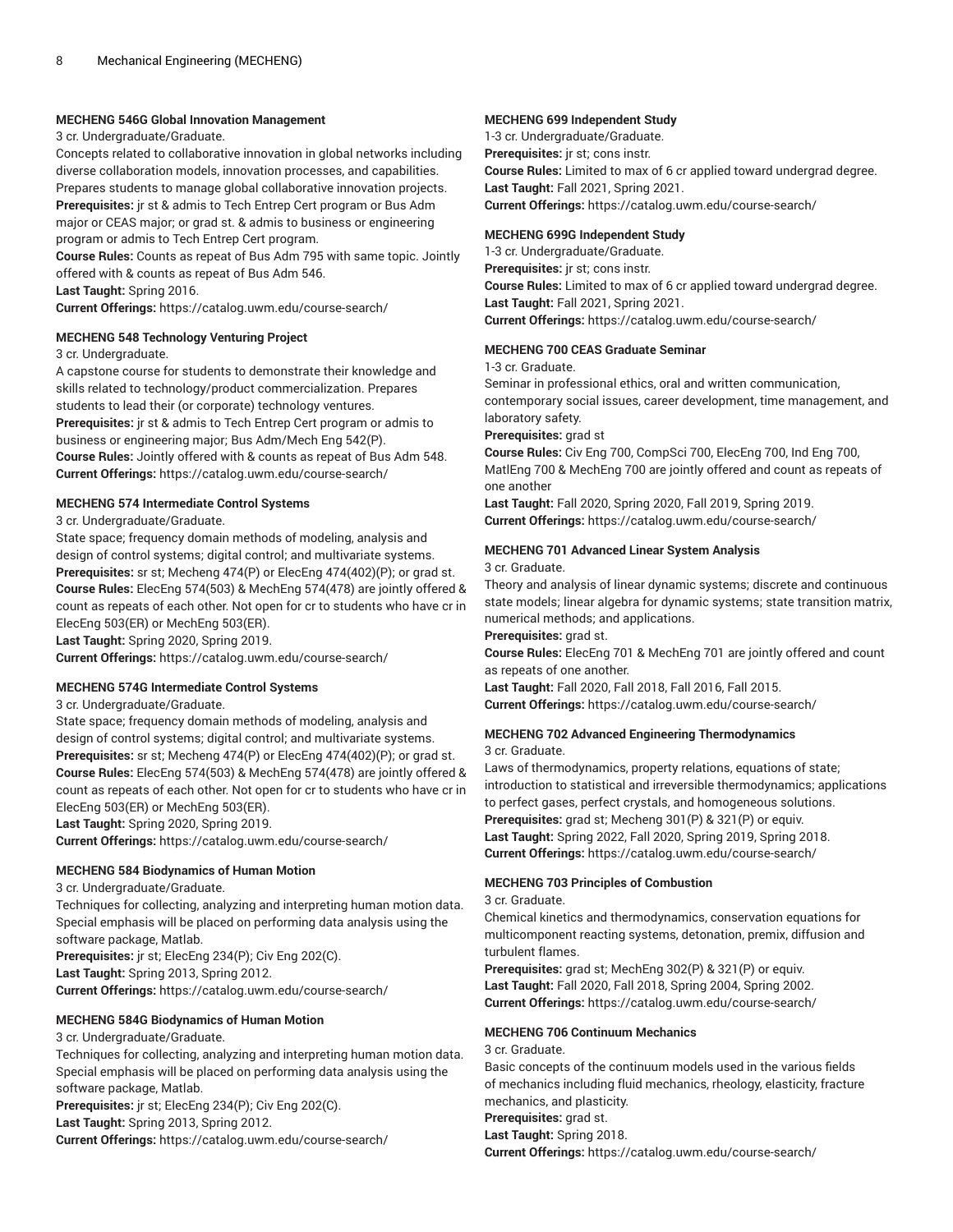#### **MECHENG 546G Global Innovation Management**

## 3 cr. Undergraduate/Graduate.

Concepts related to collaborative innovation in global networks including diverse collaboration models, innovation processes, and capabilities. Prepares students to manage global collaborative innovation projects. **Prerequisites:** jr st & admis to Tech Entrep Cert program or Bus Adm major or CEAS major; or grad st. & admis to business or engineering program or admis to Tech Entrep Cert program.

**Course Rules:** Counts as repeat of Bus Adm 795 with same topic. Jointly offered with & counts as repeat of Bus Adm 546.

**Last Taught:** Spring 2016.

**Current Offerings:** <https://catalog.uwm.edu/course-search/>

## **MECHENG 548 Technology Venturing Project**

#### 3 cr. Undergraduate.

A capstone course for students to demonstrate their knowledge and skills related to technology/product commercialization. Prepares students to lead their (or corporate) technology ventures. **Prerequisites:** jr st & admis to Tech Entrep Cert program or admis to business or engineering major; Bus Adm/Mech Eng 542(P). **Course Rules:** Jointly offered with & counts as repeat of Bus Adm 548. **Current Offerings:** <https://catalog.uwm.edu/course-search/>

## **MECHENG 574 Intermediate Control Systems**

3 cr. Undergraduate/Graduate.

State space; frequency domain methods of modeling, analysis and design of control systems; digital control; and multivariate systems. **Prerequisites:** sr st; Mecheng 474(P) or ElecEng 474(402)(P); or grad st. **Course Rules:** ElecEng 574(503) & MechEng 574(478) are jointly offered & count as repeats of each other. Not open for cr to students who have cr in ElecEng 503(ER) or MechEng 503(ER). **Last Taught:** Spring 2020, Spring 2019.

**Current Offerings:** <https://catalog.uwm.edu/course-search/>

#### **MECHENG 574G Intermediate Control Systems**

3 cr. Undergraduate/Graduate.

State space; frequency domain methods of modeling, analysis and design of control systems; digital control; and multivariate systems. **Prerequisites:** sr st; Mecheng 474(P) or ElecEng 474(402)(P); or grad st. **Course Rules:** ElecEng 574(503) & MechEng 574(478) are jointly offered & count as repeats of each other. Not open for cr to students who have cr in ElecEng 503(ER) or MechEng 503(ER).

**Last Taught:** Spring 2020, Spring 2019.

**Current Offerings:** <https://catalog.uwm.edu/course-search/>

## **MECHENG 584 Biodynamics of Human Motion**

3 cr. Undergraduate/Graduate.

Techniques for collecting, analyzing and interpreting human motion data. Special emphasis will be placed on performing data analysis using the software package, Matlab.

**Prerequisites:** jr st; ElecEng 234(P); Civ Eng 202(C). **Last Taught:** Spring 2013, Spring 2012. **Current Offerings:** <https://catalog.uwm.edu/course-search/>

## **MECHENG 584G Biodynamics of Human Motion**

3 cr. Undergraduate/Graduate.

Techniques for collecting, analyzing and interpreting human motion data. Special emphasis will be placed on performing data analysis using the software package, Matlab.

**Prerequisites:** jr st; ElecEng 234(P); Civ Eng 202(C). **Last Taught:** Spring 2013, Spring 2012.

**Current Offerings:** <https://catalog.uwm.edu/course-search/>

#### **MECHENG 699 Independent Study**

1-3 cr. Undergraduate/Graduate. **Prerequisites:** jr st; cons instr. **Course Rules:** Limited to max of 6 cr applied toward undergrad degree. **Last Taught:** Fall 2021, Spring 2021. **Current Offerings:** <https://catalog.uwm.edu/course-search/>

## **MECHENG 699G Independent Study**

1-3 cr. Undergraduate/Graduate. **Prerequisites:** jr st; cons instr. **Course Rules:** Limited to max of 6 cr applied toward undergrad degree. **Last Taught:** Fall 2021, Spring 2021. **Current Offerings:** <https://catalog.uwm.edu/course-search/>

## **MECHENG 700 CEAS Graduate Seminar**

1-3 cr. Graduate.

Seminar in professional ethics, oral and written communication, contemporary social issues, career development, time management, and laboratory safety.

#### **Prerequisites:** grad st

**Course Rules:** Civ Eng 700, CompSci 700, ElecEng 700, Ind Eng 700, MatlEng 700 & MechEng 700 are jointly offered and count as repeats of one another

**Last Taught:** Fall 2020, Spring 2020, Fall 2019, Spring 2019. **Current Offerings:** <https://catalog.uwm.edu/course-search/>

## **MECHENG 701 Advanced Linear System Analysis**

3 cr. Graduate.

Theory and analysis of linear dynamic systems; discrete and continuous state models; linear algebra for dynamic systems; state transition matrix, numerical methods; and applications.

## **Prerequisites:** grad st.

**Course Rules:** ElecEng 701 & MechEng 701 are jointly offered and count as repeats of one another.

**Last Taught:** Fall 2020, Fall 2018, Fall 2016, Fall 2015.

**Current Offerings:** <https://catalog.uwm.edu/course-search/>

## **MECHENG 702 Advanced Engineering Thermodynamics**

3 cr. Graduate.

Laws of thermodynamics, property relations, equations of state; introduction to statistical and irreversible thermodynamics; applications to perfect gases, perfect crystals, and homogeneous solutions. **Prerequisites:** grad st; Mecheng 301(P) & 321(P) or equiv. **Last Taught:** Spring 2022, Fall 2020, Spring 2019, Spring 2018. **Current Offerings:** <https://catalog.uwm.edu/course-search/>

## **MECHENG 703 Principles of Combustion**

3 cr. Graduate.

Chemical kinetics and thermodynamics, conservation equations for multicomponent reacting systems, detonation, premix, diffusion and turbulent flames.

**Prerequisites:** grad st; MechEng 302(P) & 321(P) or equiv. **Last Taught:** Fall 2020, Fall 2018, Spring 2004, Spring 2002. **Current Offerings:** <https://catalog.uwm.edu/course-search/>

## **MECHENG 706 Continuum Mechanics**

3 cr. Graduate.

Basic concepts of the continuum models used in the various fields of mechanics including fluid mechanics, rheology, elasticity, fracture mechanics, and plasticity. **Prerequisites:** grad st.

**Last Taught:** Spring 2018. **Current Offerings:** <https://catalog.uwm.edu/course-search/>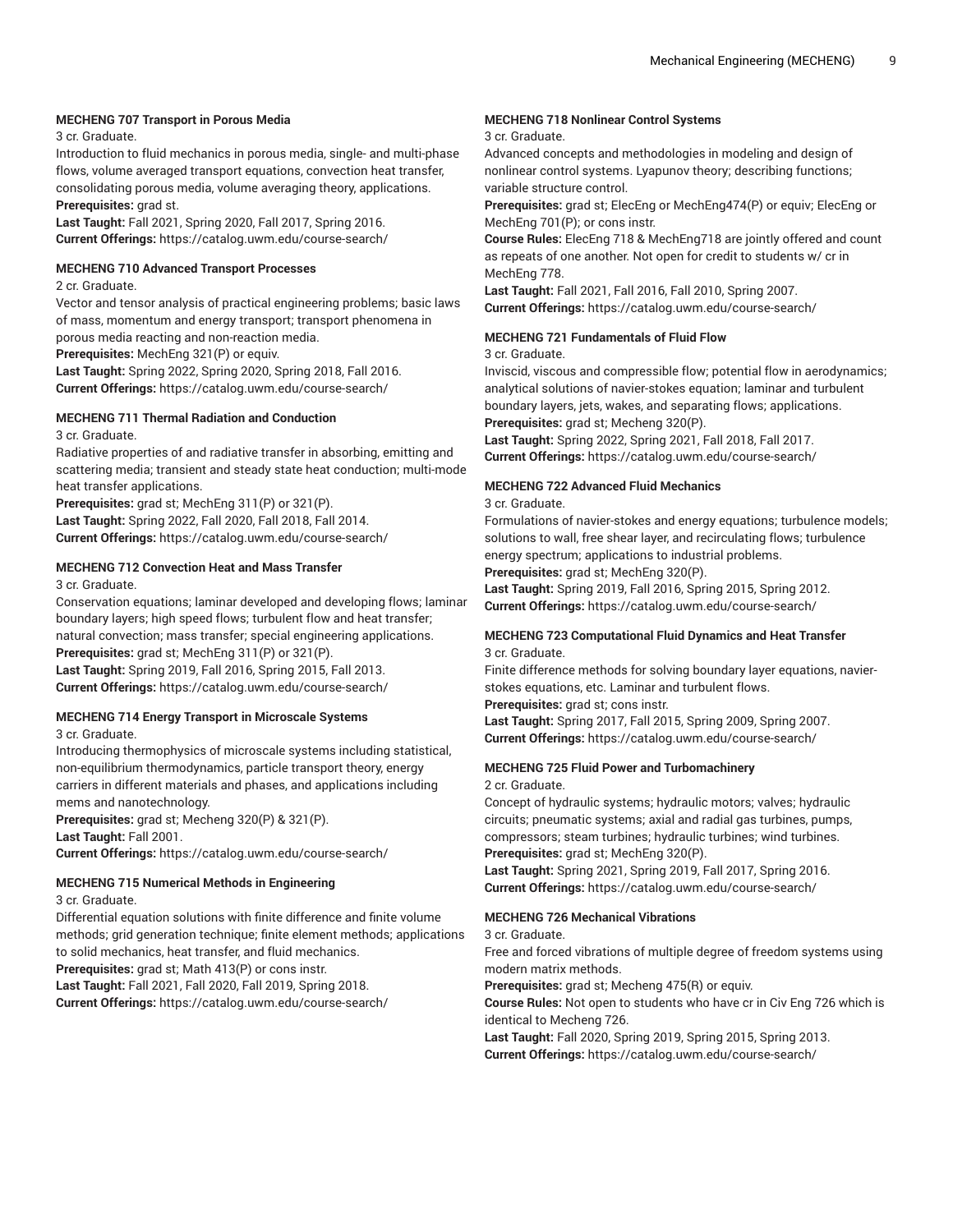#### **MECHENG 707 Transport in Porous Media**

3 cr. Graduate.

Introduction to fluid mechanics in porous media, single- and multi-phase flows, volume averaged transport equations, convection heat transfer, consolidating porous media, volume averaging theory, applications. **Prerequisites:** grad st.

**Last Taught:** Fall 2021, Spring 2020, Fall 2017, Spring 2016. **Current Offerings:** <https://catalog.uwm.edu/course-search/>

#### **MECHENG 710 Advanced Transport Processes**

2 cr. Graduate.

Vector and tensor analysis of practical engineering problems; basic laws of mass, momentum and energy transport; transport phenomena in porous media reacting and non-reaction media.

**Prerequisites:** MechEng 321(P) or equiv.

**Last Taught:** Spring 2022, Spring 2020, Spring 2018, Fall 2016. **Current Offerings:** <https://catalog.uwm.edu/course-search/>

## **MECHENG 711 Thermal Radiation and Conduction**

3 cr. Graduate.

Radiative properties of and radiative transfer in absorbing, emitting and scattering media; transient and steady state heat conduction; multi-mode heat transfer applications.

**Prerequisites:** grad st; MechEng 311(P) or 321(P). **Last Taught:** Spring 2022, Fall 2020, Fall 2018, Fall 2014. **Current Offerings:** <https://catalog.uwm.edu/course-search/>

## **MECHENG 712 Convection Heat and Mass Transfer**

3 cr. Graduate.

Conservation equations; laminar developed and developing flows; laminar boundary layers; high speed flows; turbulent flow and heat transfer; natural convection; mass transfer; special engineering applications. **Prerequisites:** grad st; MechEng 311(P) or 321(P). **Last Taught:** Spring 2019, Fall 2016, Spring 2015, Fall 2013. **Current Offerings:** <https://catalog.uwm.edu/course-search/>

## **MECHENG 714 Energy Transport in Microscale Systems**

3 cr. Graduate.

Introducing thermophysics of microscale systems including statistical, non-equilibrium thermodynamics, particle transport theory, energy carriers in different materials and phases, and applications including mems and nanotechnology.

**Prerequisites:** grad st; Mecheng 320(P) & 321(P). **Last Taught:** Fall 2001.

**Current Offerings:** <https://catalog.uwm.edu/course-search/>

#### **MECHENG 715 Numerical Methods in Engineering**

3 cr. Graduate.

Differential equation solutions with finite difference and finite volume methods; grid generation technique; finite element methods; applications to solid mechanics, heat transfer, and fluid mechanics. **Prerequisites:** grad st; Math 413(P) or cons instr.

**Last Taught:** Fall 2021, Fall 2020, Fall 2019, Spring 2018.

**Current Offerings:** <https://catalog.uwm.edu/course-search/>

## **MECHENG 718 Nonlinear Control Systems**

#### 3 cr. Graduate.

Advanced concepts and methodologies in modeling and design of nonlinear control systems. Lyapunov theory; describing functions; variable structure control.

**Prerequisites:** grad st; ElecEng or MechEng474(P) or equiv; ElecEng or MechEng 701(P); or cons instr.

**Course Rules:** ElecEng 718 & MechEng718 are jointly offered and count as repeats of one another. Not open for credit to students w/ cr in MechEng 778.

**Last Taught:** Fall 2021, Fall 2016, Fall 2010, Spring 2007. **Current Offerings:** <https://catalog.uwm.edu/course-search/>

## **MECHENG 721 Fundamentals of Fluid Flow**

3 cr. Graduate.

Inviscid, viscous and compressible flow; potential flow in aerodynamics; analytical solutions of navier-stokes equation; laminar and turbulent boundary layers, jets, wakes, and separating flows; applications. **Prerequisites:** grad st; Mecheng 320(P).

**Last Taught:** Spring 2022, Spring 2021, Fall 2018, Fall 2017. **Current Offerings:** <https://catalog.uwm.edu/course-search/>

## **MECHENG 722 Advanced Fluid Mechanics**

3 cr. Graduate.

Formulations of navier-stokes and energy equations; turbulence models; solutions to wall, free shear layer, and recirculating flows; turbulence energy spectrum; applications to industrial problems. **Prerequisites:** grad st; MechEng 320(P).

**Last Taught:** Spring 2019, Fall 2016, Spring 2015, Spring 2012.

**Current Offerings:** <https://catalog.uwm.edu/course-search/>

#### **MECHENG 723 Computational Fluid Dynamics and Heat Transfer** 3 cr. Graduate.

Finite difference methods for solving boundary layer equations, navierstokes equations, etc. Laminar and turbulent flows.

**Prerequisites:** grad st; cons instr. **Last Taught:** Spring 2017, Fall 2015, Spring 2009, Spring 2007. **Current Offerings:** <https://catalog.uwm.edu/course-search/>

# **MECHENG 725 Fluid Power and Turbomachinery**

2 cr. Graduate.

Concept of hydraulic systems; hydraulic motors; valves; hydraulic circuits; pneumatic systems; axial and radial gas turbines, pumps, compressors; steam turbines; hydraulic turbines; wind turbines. **Prerequisites:** grad st; MechEng 320(P).

**Last Taught:** Spring 2021, Spring 2019, Fall 2017, Spring 2016. **Current Offerings:** <https://catalog.uwm.edu/course-search/>

## **MECHENG 726 Mechanical Vibrations**

3 cr. Graduate.

Free and forced vibrations of multiple degree of freedom systems using modern matrix methods.

**Prerequisites:** grad st; Mecheng 475(R) or equiv.

**Course Rules:** Not open to students who have cr in Civ Eng 726 which is identical to Mecheng 726.

**Last Taught:** Fall 2020, Spring 2019, Spring 2015, Spring 2013. **Current Offerings:** <https://catalog.uwm.edu/course-search/>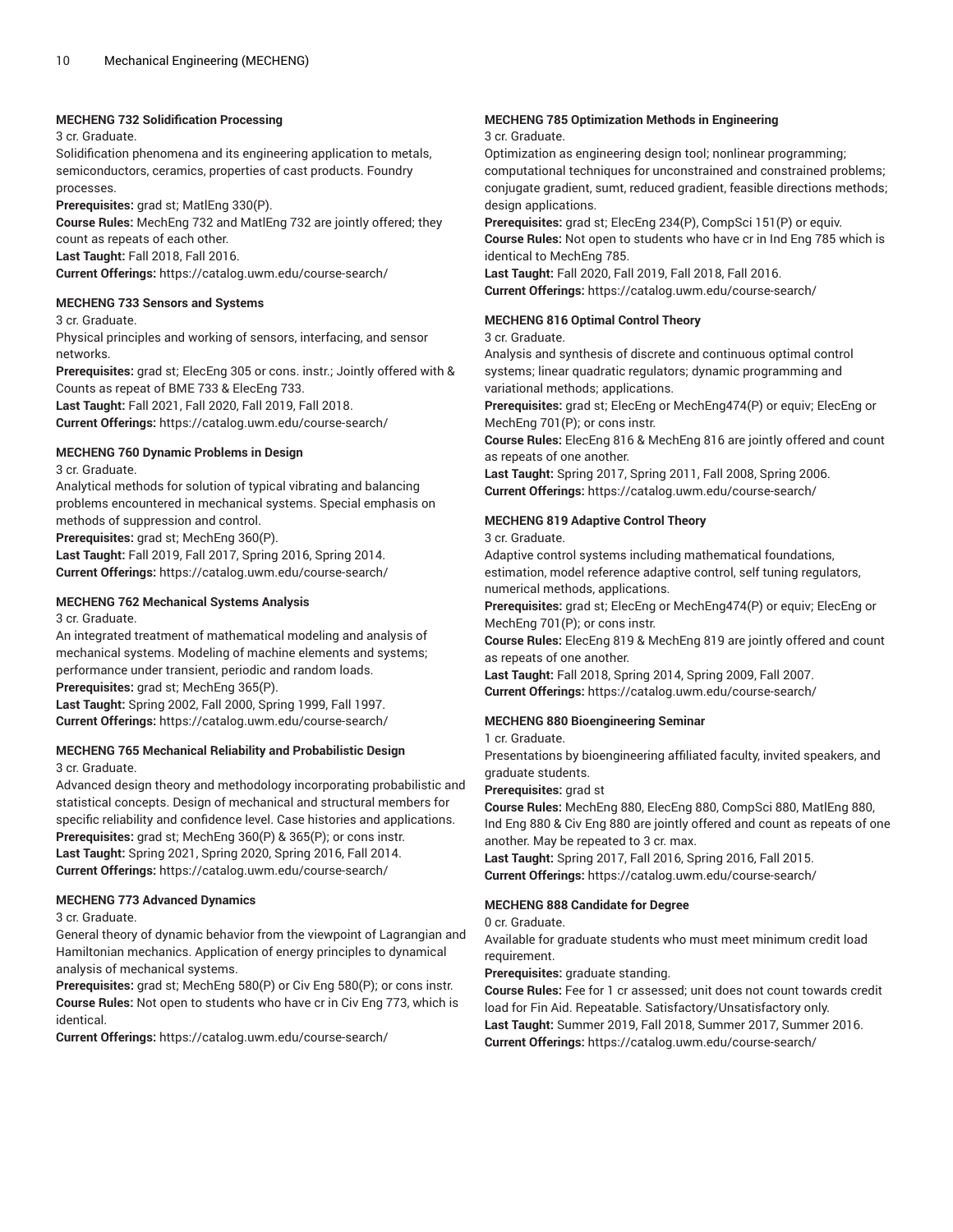## **MECHENG 732 Solidification Processing**

#### 3 cr. Graduate.

Solidification phenomena and its engineering application to metals, semiconductors, ceramics, properties of cast products. Foundry processes.

**Prerequisites:** grad st; MatlEng 330(P).

**Course Rules:** MechEng 732 and MatlEng 732 are jointly offered; they count as repeats of each other.

**Last Taught:** Fall 2018, Fall 2016.

**Current Offerings:** <https://catalog.uwm.edu/course-search/>

#### **MECHENG 733 Sensors and Systems**

3 cr. Graduate.

Physical principles and working of sensors, interfacing, and sensor networks.

**Prerequisites:** grad st; ElecEng 305 or cons. instr.; Jointly offered with & Counts as repeat of BME 733 & ElecEng 733.

**Last Taught:** Fall 2021, Fall 2020, Fall 2019, Fall 2018. **Current Offerings:** <https://catalog.uwm.edu/course-search/>

## **MECHENG 760 Dynamic Problems in Design**

3 cr. Graduate.

Analytical methods for solution of typical vibrating and balancing problems encountered in mechanical systems. Special emphasis on methods of suppression and control.

**Prerequisites:** grad st; MechEng 360(P).

**Last Taught:** Fall 2019, Fall 2017, Spring 2016, Spring 2014. **Current Offerings:** <https://catalog.uwm.edu/course-search/>

## **MECHENG 762 Mechanical Systems Analysis**

3 cr. Graduate.

An integrated treatment of mathematical modeling and analysis of mechanical systems. Modeling of machine elements and systems; performance under transient, periodic and random loads. **Prerequisites:** grad st; MechEng 365(P).

**Last Taught:** Spring 2002, Fall 2000, Spring 1999, Fall 1997. **Current Offerings:** <https://catalog.uwm.edu/course-search/>

## **MECHENG 765 Mechanical Reliability and Probabilistic Design** 3 cr. Graduate.

Advanced design theory and methodology incorporating probabilistic and statistical concepts. Design of mechanical and structural members for specific reliability and confidence level. Case histories and applications. **Prerequisites:** grad st; MechEng 360(P) & 365(P); or cons instr. **Last Taught:** Spring 2021, Spring 2020, Spring 2016, Fall 2014. **Current Offerings:** <https://catalog.uwm.edu/course-search/>

## **MECHENG 773 Advanced Dynamics**

3 cr. Graduate.

General theory of dynamic behavior from the viewpoint of Lagrangian and Hamiltonian mechanics. Application of energy principles to dynamical analysis of mechanical systems.

**Prerequisites:** grad st; MechEng 580(P) or Civ Eng 580(P); or cons instr. **Course Rules:** Not open to students who have cr in Civ Eng 773, which is identical.

**Current Offerings:** <https://catalog.uwm.edu/course-search/>

## **MECHENG 785 Optimization Methods in Engineering**

#### 3 cr. Graduate.

Optimization as engineering design tool; nonlinear programming; computational techniques for unconstrained and constrained problems; conjugate gradient, sumt, reduced gradient, feasible directions methods; design applications.

**Prerequisites:** grad st; ElecEng 234(P), CompSci 151(P) or equiv.

**Course Rules:** Not open to students who have cr in Ind Eng 785 which is identical to MechEng 785.

**Last Taught:** Fall 2020, Fall 2019, Fall 2018, Fall 2016.

**Current Offerings:** <https://catalog.uwm.edu/course-search/>

## **MECHENG 816 Optimal Control Theory**

3 cr. Graduate.

Analysis and synthesis of discrete and continuous optimal control systems; linear quadratic regulators; dynamic programming and variational methods; applications.

**Prerequisites:** grad st; ElecEng or MechEng474(P) or equiv; ElecEng or MechEng 701(P); or cons instr.

**Course Rules:** ElecEng 816 & MechEng 816 are jointly offered and count as repeats of one another.

**Last Taught:** Spring 2017, Spring 2011, Fall 2008, Spring 2006. **Current Offerings:** <https://catalog.uwm.edu/course-search/>

## **MECHENG 819 Adaptive Control Theory**

3 cr. Graduate.

Adaptive control systems including mathematical foundations, estimation, model reference adaptive control, self tuning regulators, numerical methods, applications.

**Prerequisites:** grad st; ElecEng or MechEng474(P) or equiv; ElecEng or MechEng 701(P); or cons instr.

**Course Rules:** ElecEng 819 & MechEng 819 are jointly offered and count as repeats of one another.

**Last Taught:** Fall 2018, Spring 2014, Spring 2009, Fall 2007. **Current Offerings:** <https://catalog.uwm.edu/course-search/>

## **MECHENG 880 Bioengineering Seminar**

1 cr. Graduate.

Presentations by bioengineering affiliated faculty, invited speakers, and graduate students.

#### **Prerequisites:** grad st

**Course Rules:** MechEng 880, ElecEng 880, CompSci 880, MatlEng 880, Ind Eng 880 & Civ Eng 880 are jointly offered and count as repeats of one another. May be repeated to 3 cr. max.

**Last Taught:** Spring 2017, Fall 2016, Spring 2016, Fall 2015. **Current Offerings:** <https://catalog.uwm.edu/course-search/>

## **MECHENG 888 Candidate for Degree**

0 cr. Graduate.

Available for graduate students who must meet minimum credit load requirement.

**Prerequisites:** graduate standing.

**Course Rules:** Fee for 1 cr assessed; unit does not count towards credit load for Fin Aid. Repeatable. Satisfactory/Unsatisfactory only. **Last Taught:** Summer 2019, Fall 2018, Summer 2017, Summer 2016. **Current Offerings:** <https://catalog.uwm.edu/course-search/>